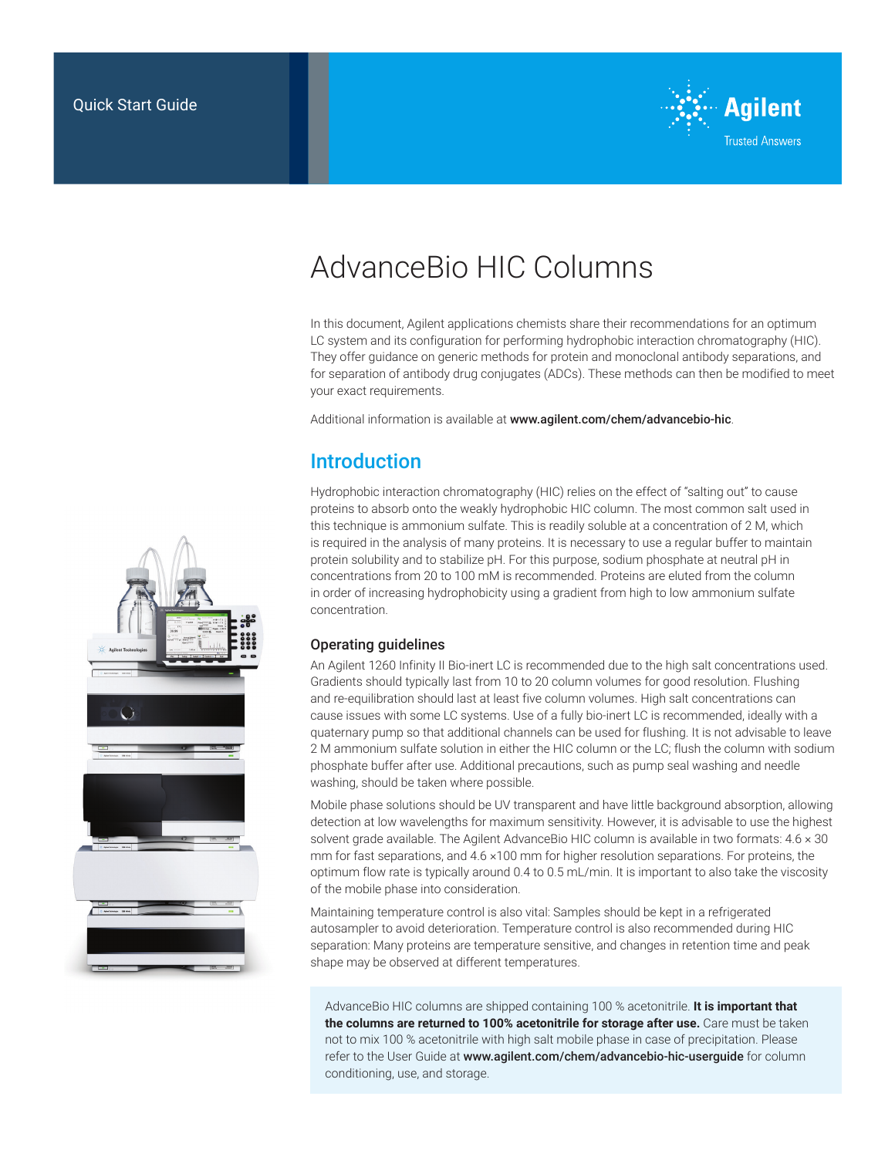

# AdvanceBio HIC Columns

In this document, Agilent applications chemists share their recommendations for an optimum LC system and its configuration for performing hydrophobic interaction chromatography (HIC). They offer guidance on generic methods for protein and monoclonal antibody separations, and for separation of antibody drug conjugates (ADCs). These methods can then be modified to meet your exact requirements.

Additional information is available at www.agilent.com/chem/advancebio-hic.

# **Introduction**

Hydrophobic interaction chromatography (HIC) relies on the effect of "salting out" to cause proteins to absorb onto the weakly hydrophobic HIC column. The most common salt used in this technique is ammonium sulfate. This is readily soluble at a concentration of 2 M, which is required in the analysis of many proteins. It is necessary to use a regular buffer to maintain protein solubility and to stabilize pH. For this purpose, sodium phosphate at neutral pH in concentrations from 20 to 100 mM is recommended. Proteins are eluted from the column in order of increasing hydrophobicity using a gradient from high to low ammonium sulfate concentration.

# Operating guidelines

An Agilent 1260 Infinity II Bio-inert LC is recommended due to the high salt concentrations used. Gradients should typically last from 10 to 20 column volumes for good resolution. Flushing and re-equilibration should last at least five column volumes. High salt concentrations can cause issues with some LC systems. Use of a fully bio-inert LC is recommended, ideally with a quaternary pump so that additional channels can be used for flushing. It is not advisable to leave 2 M ammonium sulfate solution in either the HIC column or the LC; flush the column with sodium phosphate buffer after use. Additional precautions, such as pump seal washing and needle washing, should be taken where possible.

Mobile phase solutions should be UV transparent and have little background absorption, allowing detection at low wavelengths for maximum sensitivity. However, it is advisable to use the highest solvent grade available. The Agilent AdvanceBio HIC column is available in two formats: 4.6 x 30 mm for fast separations, and 4.6  $\times$ 100 mm for higher resolution separations. For proteins, the optimum flow rate is typically around 0.4 to 0.5 mL/min. It is important to also take the viscosity of the mobile phase into consideration.

Maintaining temperature control is also vital: Samples should be kept in a refrigerated autosampler to avoid deterioration. Temperature control is also recommended during HIC separation: Many proteins are temperature sensitive, and changes in retention time and peak shape may be observed at different temperatures.

AdvanceBio HIC columns are shipped containing 100 % acetonitrile. **It is important that the columns are returned to 100% acetonitrile for storage after use.** Care must be taken not to mix 100 % acetonitrile with high salt mobile phase in case of precipitation. Please refer to the User Guide at www.agilent.com/chem/advancebio-hic-userguide for column conditioning, use, and storage.